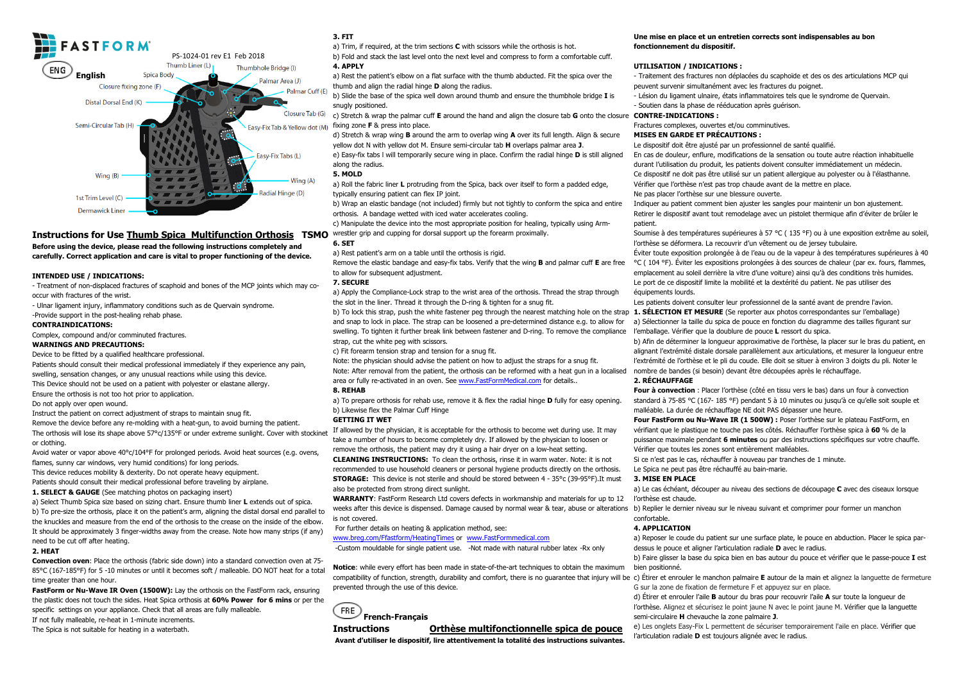

# **Instructions for Use Thumb Spica Multifunction Orthosis TSMO** wrestler grip and cupping for dorsal support up the forearm proximally.

**Before using the device, please read the following instructions completely and carefully. Correct application and care is vital to proper functioning of the device.** 

#### **INTENDED USE / INDICATIONS:**

 - Treatment of non-displaced fractures of scaphoid and bones of the MCP joints which may cooccur with fractures of the wrist.

- Ulnar ligament injury, inflammatory conditions such as de Quervain syndrome.

-Provide support in the post-healing rehab phase.

#### **CONTRAINDICATIONS:**

Complex, compound and/or comminuted fractures.

#### **WARNINGS AND PRECAUTIONS:**

Device to be fitted by a qualified healthcare professional.

Patients should consult their medical professional immediately if they experience any pain, swelling, sensation changes, or any unusual reactions while using this device. This Device should not be used on a patient with polyester or elastane allergy.

Ensure the orthosis is not too hot prior to application.

Do not apply over open wound.

Instruct the patient on correct adjustment of straps to maintain snug fit.

 Remove the device before any re-molding with a heat-gun, to avoid burning the patient. The orthosis will lose its shape above 57°c/135°F or under extreme sunlight. Cover with stockinet or clothing.

Avoid water or vapor above 40°c/104°F for prolonged periods. Avoid heat sources (e.g. ovens, flames, sunny car windows, very humid conditions) for long periods.

 This device reduces mobility & dexterity. Do not operate heavy equipment. Patients should consult their medical professional before traveling by airplane.

**1. SELECT & GAUGE** (See matching photos on packaging insert)

 a) Select Thumb Spica size based on sizing chart. Ensure thumb liner **L** extends out of spica. b) To pre-size the orthosis, place it on the patient's arm, aligning the distal dorsal end parallel to the knuckles and measure from the end of the orthosis to the crease on the inside of the elbow. It should be approximately 3 finger-widths away from the crease. Note how many strips (if any) need to be cut off after heating.

#### **2. HEAT**

 **Convection oven**: Place the orthosis (fabric side down) into a standard convection oven at 75- 85°C (167-185°F) for 5 -10 minutes or until it becomes soft / malleable. DO NOT heat for a total time greater than one hour.

 **FastForm or Nu-Wave IR Oven (1500W):** Lay the orthosis on the FastForm rack, ensuring the plastic does not touch the sides. Heat Spica orthosis at **60% Power for 6 mins** or per the specific settings on your appliance. Check that all areas are fully malleable. If not fully malleable, re-heat in 1-minute increments.

The Spica is not suitable for heating in a waterbath.

# **3. FIT**

a) Trim, if required, at the trim sections **C** with scissors while the orthosis is hot.

 b) Fold and stack the last level onto the next level and compress to form a comfortable cuff. **4. APPLY** 

 a) Rest the patient's elbow on a flat surface with the thumb abducted. Fit the spica over the thumb and align the radial hinge **D** along the radius.

 b) Slide the base of the spica well down around thumb and ensure the thumbhole bridge **I** is snugly positioned.

 c) Stretch & wrap the palmar cuff **E** around the hand and align the closure tab **G** onto the closure **CONTRE-INDICATIONS :** fixing zone **F** & press into place.

d) Stretch & wrap wing **B** around the arm to overlap wing **A** over its full length. Align & secure yellow dot N with yellow dot M. Ensure semi-circular tab **H** overlaps palmar area **J**.

 e) Easy-fix tabs l will temporarily secure wing in place. Confirm the radial hinge **D** is still aligned along the radius.

# **5. MOLD**

 a) Roll the fabric liner **L** protruding from the Spica, back over itself to form a padded edge, typically ensuring patient can flex IP joint.

 b) Wrap an elastic bandage (not included) firmly but not tightly to conform the spica and entire orthosis. A bandage wetted with iced water accelerates cooling.

c) Manipulate the device into the most appropriate position for healing, typically using Arm-

# **6. SET**

a) Rest patient's arm on a table until the orthosis is rigid.

 Remove the elastic bandage and easy-fix tabs. Verify that the wing **B** and palmar cuff **E** are free to allow for subsequent adjustment.

# **7. SECURE**

 a) Apply the Compliance-Lock strap to the wrist area of the orthosis. Thread the strap through the slot in the liner. Thread it through the D-ring & tighten for a snug fit.

and snap to lock in place. The strap can be loosened a pre-determined distance e.g. to allow for swelling. To tighten it further break link between fastener and D-ring. To remove the compliance strap, cut the white peg with scissors.

c) Fit forearm tension strap and tension for a snug fit.

Note: the physician should advise the patient on how to adjust the straps for a snug fit.

Note: After removal from the patient, the orthosis can be reformed with a heat gun in a localised

area or fully re-activated in an oven. See www.FastFormMedical.com for details..

# **8. REHAB**

 a) To prepare orthosis for rehab use, remove it & flex the radial hinge **D** fully for easy opening. b) Likewise flex the Palmar Cuff Hinge

# **GETTING IT WET**

 If allowed by the physician, it is acceptable for the orthosis to become wet during use. It may take a number of hours to become completely dry. If allowed by the physician to loosen or remove the orthosis, the patient may dry it using a hair dryer on a low-heat setting.

 **CLEANING INSTRUCTIONS:** To clean the orthosis, rinse it in warm water. Note: it is not recommended to use household cleaners or personal hygiene products directly on the orthosis. **STORAGE:** This device is not sterile and should be stored between 4 - 35°c (39-95°F).It must also be protected from strong direct sunlight.

 **WARRANTY**: FastForm Research Ltd covers defects in workmanship and materials for up to 12 weeks after this device is dispensed. Damage caused by normal wear & tear, abuse or alterations b) Replier le dernier inveau sur le niveau suivant et comprimer pour former un manchon is not covered.

For further details on heating & application method, see:

www.breg.com/Ffastform/HeatingTimes or www.FastFormmedical.com

-Custom mouldable for single patient use. -Not made with natural rubber latex -Rx only

**Notice**: while every effort has been made in state-of-the-art techniques to obtain the maximum compatibility of function, strength, durability and comfort, there is no guarantee that injury will be c) Étirer et enrouler le manchon palmaire **E** autour de la main et alignez la languette de fermeture prevented through the use of this device.



### **Instructions Orthèse multifonctionnelle spica de pouce**

 **Avant d'utiliser le dispositif, lire attentivement la totalité des instructions suivantes.** 

### **Une mise en place et un entretien corrects sont indispensables au bon fonctionnement du dispositif.**

# **UTILISATION / INDICATIONS :**

 - Traitement des fractures non déplacées du scaphoïde et des os des articulations MCP qui peuvent survenir simultanément avec les fractures du poignet.

 - Lésion du ligament ulnaire, états inflammatoires tels que le syndrome de Quervain. - Soutien dans la phase de rééducation après guérison.

Fractures complexes, ouvertes et/ou comminutives.

#### **MISES EN GARDE ET PRÉCAUTIONS :**

Le dispositif doit être ajusté par un professionnel de santé qualifié.

 En cas de douleur, enflure, modifications de la sensation ou toute autre réaction inhabituelle durant l'utilisation du produit, les patients doivent consulter immédiatement un médecin. Ce dispositif ne doit pas être utilisé sur un patient allergique au polyester ou à l'élasthanne. Vérifier que l'orthèse n'est pas trop chaude avant de la mettre en place. Ne pas placer l'orthèse sur une blessure ouverte.

 Indiquer au patient comment bien ajuster les sangles pour maintenir un bon ajustement. Retirer le dispositif avant tout remodelage avec un pistolet thermique afin d'éviter de brûler le

patient. Soumise à des températures supérieures à 57 °C ( 135 °F) ou à une exposition extrême au soleil, l'orthèse se déformera. La recouvrir d'un vêtement ou de jersey tubulaire.

 Éviter toute exposition prolongée à de l'eau ou de la vapeur à des températures supérieures à 40 °C ( 104 °F). Éviter les expositions prolongées à des sources de chaleur (par ex. fours, flammes, emplacement au soleil derrière la vitre d'une voiture) ainsi qu'à des conditions très humides. Le port de ce dispositif limite la mobilité et la dextérité du patient. Ne pas utiliser des équipements lourds.

 b) To lock this strap, push the white fastener peg through the nearest matching hole on the strap **1. SÉLECTION ET MESURE** (Se reporter aux photos correspondantes sur l'emballage) Les patients doivent consulter leur professionnel de la santé avant de prendre l'avion. a) Sélectionner la taille du spica de pouce en fonction du diagramme des tailles figurant sur l'emballage. Vérifier que la doublure de pouce **L** ressort du spica.

> b) Afin de déterminer la longueur approximative de l'orthèse, la placer sur le bras du patient, en alignant l'extrémité distale dorsale parallèlement aux articulations, et mesurer la longueur entre l'extrémité de l'orthèse et le pli du coude. Elle doit se situer à environ 3 doigts du pli. Noter le nombre de bandes (si besoin) devant être découpées après le réchauffage.

### **2. RÉCHAUFFAGE**

 **Four à convection** : Placer l'orthèse (côté en tissu vers le bas) dans un four à convection standard à 75-85 °C (167- 185 °F) pendant 5 à 10 minutes ou jusqu'à ce qu'elle soit souple et malléable. La durée de réchauffage NE doit PAS dépasser une heure.

 **Four FastForm ou Nu-Wave IR (1 500W) :** Poser l'orthèse sur le plateau FastForm, en vérifiant que le plastique ne touche pas les côtés. Réchauffer l'orthèse spica à **60** % de la puissance maximale pendant **6 minutes** ou par des instructions spécifiques sur votre chauffe. Vérifier que toutes les zones sont entièrement malléables.

Si ce n'est pas le cas, réchauffer à nouveau par tranches de 1 minute.

Le Spica ne peut pas être réchauffé au bain-marie.

#### **3. MISE EN PLACE**

a) Le cas échéant, découper au niveau des sections de découpage **C** avec des ciseaux lorsque l'orthèse est chaude.

confortable.

## **4. APPLICATION**

 a) Reposer le coude du patient sur une surface plate, le pouce en abduction. Placer le spica pardessus le pouce et aligner l'articulation radiale **D** avec le radius.

 b) Faire glisser la base du spica bien en bas autour du pouce et vérifier que le passe-pouce **I** est bien positionné.

G sur la zone de fixation de fermeture F et appuyez sur en place.

 d) Étirer et enrouler l'aile **B** autour du bras pour recouvrir l'aile **A** sur toute la longueur de l'orthèse. Alignez et sécurisez le point jaune N avec le point jaune M. Vérifier que la languette semi-circulaire **H** chevauche la zone palmaire **J**.

 e) Les onglets Easy-Fix L permettent de sécuriser temporairement l'aile en place. Vérifier que l'articulation radiale **D** est toujours alignée avec le radius.